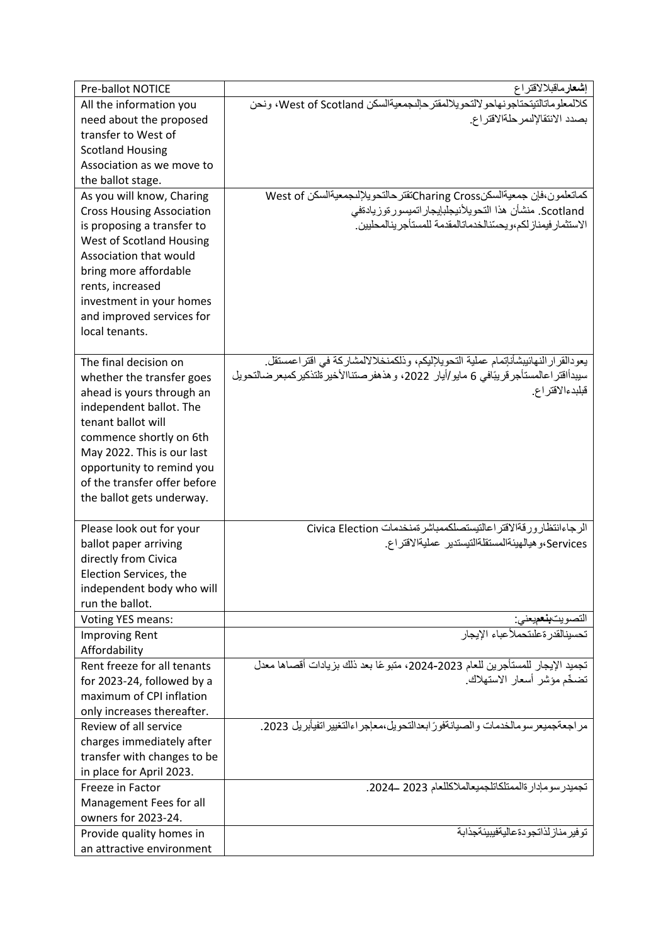| <b>Pre-ballot NOTICE</b>         | إ <b>شعار</b> ماقبلالاقتراع                                                                  |
|----------------------------------|----------------------------------------------------------------------------------------------|
| All the information you          | كلالمعلوماتالتيتحتاجونهاحولالتحويلالمقتر حالىجمعيةالسكن West of Scotland، ونحن               |
| need about the proposed          | بصدد الانتقالإلىمر حلةالاقتراع.                                                              |
| transfer to West of              |                                                                                              |
| <b>Scotland Housing</b>          |                                                                                              |
| Association as we move to        |                                                                                              |
| the ballot stage.                |                                                                                              |
| As you will know, Charing        | كماتعلمون،فإن جمعيةالسكنCharing Crossكتقتر حالتحويلإلىجمعيةالسكن West of                     |
| <b>Cross Housing Association</b> | Scotland. منشأن هذا التحويلأنيجلبإيجار اتميسور ةوزيادةفي                                     |
| is proposing a transfer to       | الاستثمار فيمناز لكم،ويحسّنالخدماتالمقدمة للمستأجر ينالمحليين                                |
| West of Scotland Housing         |                                                                                              |
| Association that would           |                                                                                              |
| bring more affordable            |                                                                                              |
| rents, increased                 |                                                                                              |
| investment in your homes         |                                                                                              |
| and improved services for        |                                                                                              |
| local tenants.                   |                                                                                              |
|                                  |                                                                                              |
| The final decision on            | يعودالقرار النهائيبشأنإتمام عملية التحويلإليكم، وذلكمنخلالالمشاركة في اقتراعمستقل.           |
| whether the transfer goes        | سيبدأاقتر اعالمستأجر قريبًافي 6 مايو/أيار  2022، و هذهفر صنتناالأخير ةلتذكير كمبعر ضـالتحويل |
| ahead is yours through an        | قبلبدءالاقتراع                                                                               |
| independent ballot. The          |                                                                                              |
| tenant ballot will               |                                                                                              |
| commence shortly on 6th          |                                                                                              |
| May 2022. This is our last       |                                                                                              |
| opportunity to remind you        |                                                                                              |
| of the transfer offer before     |                                                                                              |
| the ballot gets underway.        |                                                                                              |
|                                  |                                                                                              |
| Please look out for your         | الرجاءانتظار ورفةالاقتراعالتيستصلكممباشر تمنخدمات Civica Election                            |
| ballot paper arriving            | Services،و هيالهيئةالمستقلةالتيستدير عمليةالاقتراع.                                          |
| directly from Civica             |                                                                                              |
| Election Services, the           |                                                                                              |
| independent body who will        |                                                                                              |
| run the ballot.                  |                                                                                              |
| <b>Voting YES means:</b>         | التصويت <b>بنع</b> ميعني:                                                                    |
| <b>Improving Rent</b>            | تحسبنالقدر ةعلىتحملأعباء الابجار                                                             |
| Affordability                    |                                                                                              |
| Rent freeze for all tenants      | تجميد الإيجار للمستأجرين للعام 2023-2024، متبوعًا بعد ذلك بزيادات أقصاها معدل                |
| for 2023-24, followed by a       | تضخّم مؤشر أسعار الاستهلاك                                                                   |
| maximum of CPI inflation         |                                                                                              |
| only increases thereafter.       |                                                                                              |
| Review of all service            | مر اجعةجميعر سومالخدمات والصيانةفور ًابعدالتحويل،معاجر اءالتغيير اتفيأبريل 2023.             |
| charges immediately after        |                                                                                              |
| transfer with changes to be      |                                                                                              |
| in place for April 2023.         |                                                                                              |
| Freeze in Factor                 | تجميدر سومإدار ةالممتلكاتلجميعالملاكللعام 2023 ــ2024.                                       |
| Management Fees for all          |                                                                                              |
| owners for 2023-24.              |                                                                                              |
| Provide quality homes in         | تو فير مناز لذاتجو دةعاليةفيبيئةجذابة                                                        |
| an attractive environment        |                                                                                              |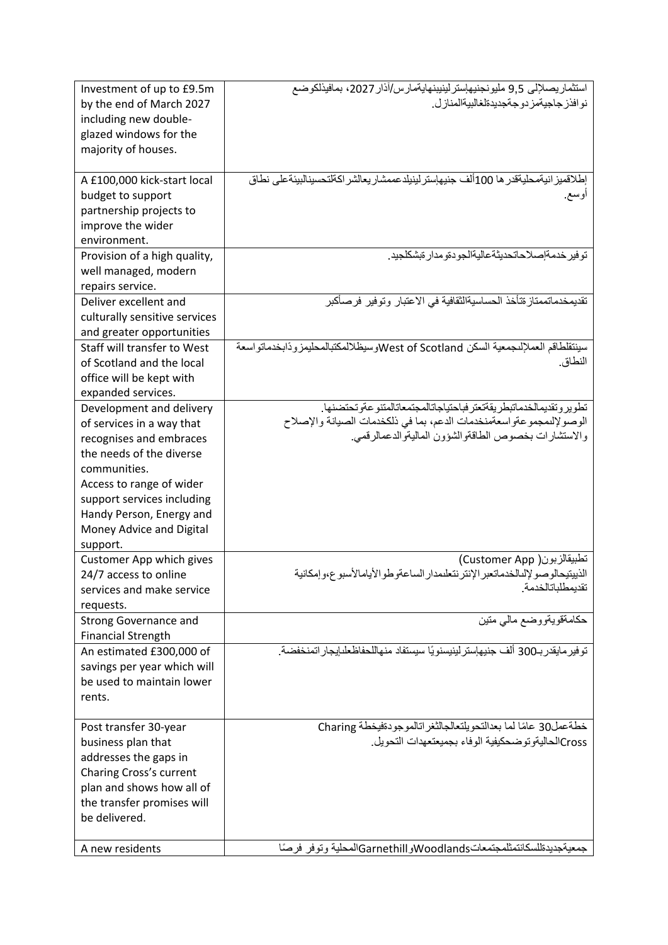| Investment of up to £9.5m     | استثماريصلإلى 9,5 مليونجنيهإسترلينيينهايةمارس/أذار 2027، بمافيذلكوضع                 |
|-------------------------------|--------------------------------------------------------------------------------------|
| by the end of March 2027      | نو افذر جاجيةمز دو جةجديدةلغالبيةالمناز ل                                            |
| including new double-         |                                                                                      |
| glazed windows for the        |                                                                                      |
| majority of houses.           |                                                                                      |
|                               |                                                                                      |
| A £100,000 kick-start local   | إطلاقميز انيةمحليةقدر ها 100ألف جنيهاستر لينيلدعممشار يعالشر اكةلتحسينالبيئةعلى نطاق |
| budget to support             | اوسع.                                                                                |
| partnership projects to       |                                                                                      |
| improve the wider             |                                                                                      |
| environment.                  |                                                                                      |
| Provision of a high quality,  | تو فير خدمةإصلاحاتحديثةعاليةالجو دةو مدار ةبشكلجيد.                                  |
| well managed, modern          |                                                                                      |
| repairs service.              |                                                                                      |
| Deliver excellent and         | تقديمخدماتممتاز ةتأخذ الحساسيةالثقافية في الاعتبار وتوفير فرصاكبر                    |
| culturally sensitive services |                                                                                      |
| and greater opportunities     |                                                                                      |
| Staff will transfer to West   | سينتقلطاقم العملإلىجمعية السكن West of Scotlandوسيظلالمكتبالمحليمز ودًابخدماتو اسعة  |
| of Scotland and the local     | النطاق.                                                                              |
| office will be kept with      |                                                                                      |
| expanded services.            |                                                                                      |
| Development and delivery      | تطوير وتقديمالخدماتبطر يقةتعتر فباحتياجاتالمجتمعاتالمتنو عةوتحتضنها                  |
| of services in a way that     | الوصولإلىمجموعةواسعةمنخدمات الدعم، بما في ذلكخدمات الصيانة والإصلاح                  |
| recognises and embraces       | والاستشارات بخصوص الطاقةوالشؤون الماليةوالدعمالرقمي.                                 |
| the needs of the diverse      |                                                                                      |
| communities.                  |                                                                                      |
| Access to range of wider      |                                                                                      |
| support services including    |                                                                                      |
| Handy Person, Energy and      |                                                                                      |
| Money Advice and Digital      |                                                                                      |
| support.                      |                                                                                      |
| Customer App which gives      | تطبيقالزبون( Customer App)                                                           |
| 24/7 access to online         | الذييتيحالو صو لإلىالخدماتعبر الإنتر نتعلىمدار الساعةو طو الأيامالأسبو ع،و إمكانية   |
| services and make service     | تقديمطلباتالخدمة                                                                     |
| requests.                     |                                                                                      |
| <b>Strong Governance and</b>  | حكامةقويةووضع مالىي متين                                                             |
| <b>Financial Strength</b>     |                                                                                      |
| An estimated £300,000 of      | توفير مايقدر بـ300 ألف جنيهإستر لينيسنويًا سيستفاد منهاللحفاظعلىايجار اتمنخفضة.      |
| savings per year which will   |                                                                                      |
| be used to maintain lower     |                                                                                      |
| rents.                        |                                                                                      |
|                               |                                                                                      |
| Post transfer 30-year         | خطةعمل30 عامًا لما بعدالتحويلتعالجالثغراتالموجودةفيخطة Charing                       |
| business plan that            | Cross)الحاليةوتو ضحكيفية الوفاء بجميعتعهدات التحويل                                  |
| addresses the gaps in         |                                                                                      |
| Charing Cross's current       |                                                                                      |
| plan and shows how all of     |                                                                                      |
| the transfer promises will    |                                                                                      |
| be delivered.                 |                                                                                      |
|                               |                                                                                      |
| A new residents               | جمعيةجديدةللسكانتمثلمجتمعاتWoodlandsوGarnethillالمحلية وتوفر فرصًا                   |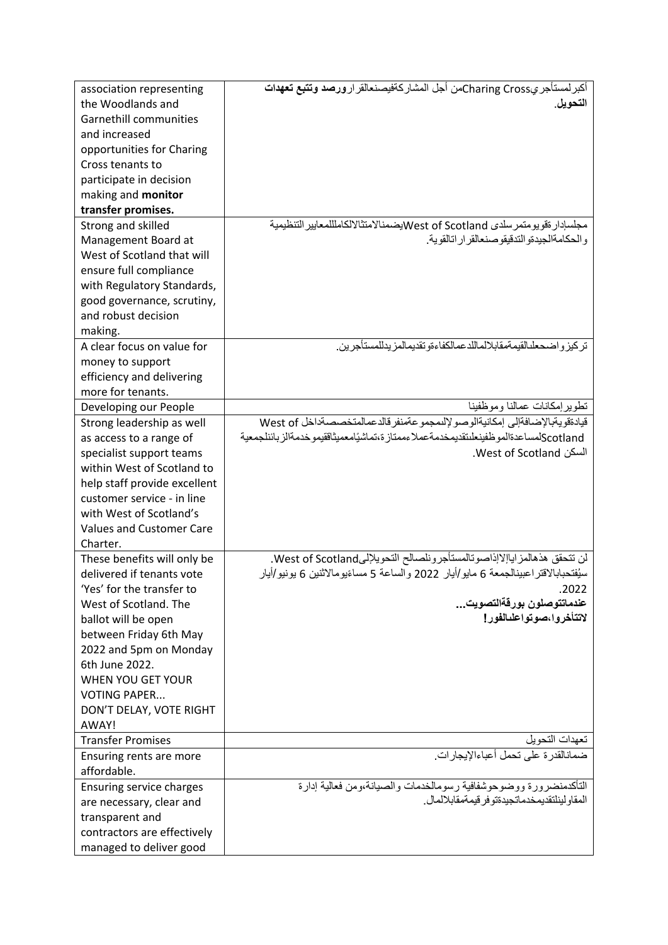| association representing        | أكبر لمستأجريCharing Crossكمن أجل المشاركةفيصنعالقر ارورصد وتتبع تعهدات                                                       |
|---------------------------------|-------------------------------------------------------------------------------------------------------------------------------|
| the Woodlands and               | التحويل.                                                                                                                      |
| <b>Garnethill communities</b>   |                                                                                                                               |
| and increased                   |                                                                                                                               |
| opportunities for Charing       |                                                                                                                               |
| Cross tenants to                |                                                                                                                               |
|                                 |                                                                                                                               |
| participate in decision         |                                                                                                                               |
| making and monitor              |                                                                                                                               |
| transfer promises.              |                                                                                                                               |
| Strong and skilled              | مجلسإدار ةفويومتمرسلدي West of Scotlandابضمنالامتثالالكاملللمعايير التنظيمية<br>والحكامةالجيدةو الندقيقو صنعالقر ار اتالقوية. |
| Management Board at             |                                                                                                                               |
| West of Scotland that will      |                                                                                                                               |
| ensure full compliance          |                                                                                                                               |
| with Regulatory Standards,      |                                                                                                                               |
| good governance, scrutiny,      |                                                                                                                               |
| and robust decision             |                                                                                                                               |
| making.                         |                                                                                                                               |
| A clear focus on value for      | تركيز و اضحعلىالقيمةمقابلالماللدعمالكفاءةو تقديمالمز يدللمستأجرين                                                             |
| money to support                |                                                                                                                               |
| efficiency and delivering       |                                                                                                                               |
| more for tenants.               |                                                                                                                               |
| Developing our People           | تطوير إمكانات عمالنا وموظفينا                                                                                                 |
| Strong leadership as well       | قيادةقويةبالإضافةإلى إمكانيةالوصو لإلىمجمو عةمنفر قالدعمالمتخصصةداخل West of                                                  |
| as access to a range of         | Scotlandلمساعدةالمو ظفينعلىتقديمخدمةعملاءممتاز ة،تماشيًامعميثاققيمو خدمةالز بائنلجمعية                                        |
| specialist support teams        | السكن West of Scotland.                                                                                                       |
| within West of Scotland to      |                                                                                                                               |
| help staff provide excellent    |                                                                                                                               |
| customer service - in line      |                                                                                                                               |
| with West of Scotland's         |                                                                                                                               |
| <b>Values and Customer Care</b> |                                                                                                                               |
| Charter.                        |                                                                                                                               |
| These benefits will only be     | لن تتحقق هذهالمز اباإلاإذاصوتالمستأجرونلصالح التحويلإلىWest of Scotland.                                                      |
| delivered if tenants vote       | سيُفتحبابالاقتراعبينالجمعة 6 مايو/أيار 2022 والساعة 5 مساءًيومالاثنين 6 يونيو/أيار                                            |
| 'Yes' for the transfer to       | .2022                                                                                                                         |
| West of Scotland. The           | عندماتتوصلون بورقةالتصويت                                                                                                     |
| ballot will be open             | لاتتأخروا مصوتواعلىالفور إ                                                                                                    |
| between Friday 6th May          |                                                                                                                               |
| 2022 and 5pm on Monday          |                                                                                                                               |
| 6th June 2022.                  |                                                                                                                               |
| WHEN YOU GET YOUR               |                                                                                                                               |
| <b>VOTING PAPER</b>             |                                                                                                                               |
| DON'T DELAY, VOTE RIGHT         |                                                                                                                               |
| AWAY!                           |                                                                                                                               |
| <b>Transfer Promises</b>        | تعهدات التحويل                                                                                                                |
| Ensuring rents are more         | ضمانالقدرة على تحمل أعباءالإيجارات.                                                                                           |
| affordable.                     |                                                                                                                               |
| Ensuring service charges        | التأكدمنضرورة ووضوحوشفافية رسومالخدمات والصيانة،ومن فعالية إدارة                                                              |
| are necessary, clear and        | المقاو لينلتقديمخدماتجيدةتو فر قيمةمقابلالمال                                                                                 |
| transparent and                 |                                                                                                                               |
| contractors are effectively     |                                                                                                                               |
| managed to deliver good         |                                                                                                                               |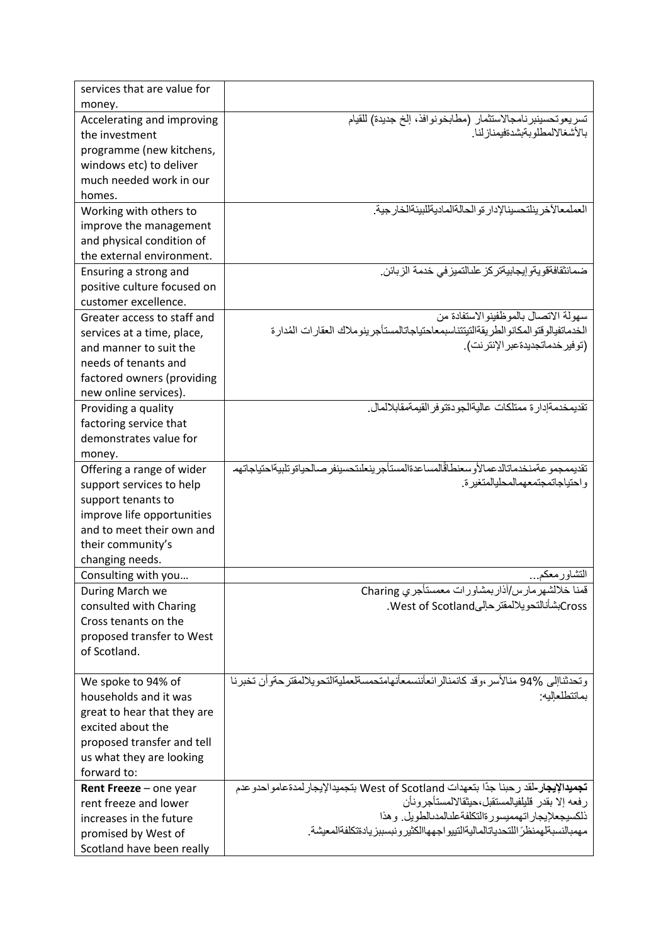| services that are value for |                                                                                                |
|-----------------------------|------------------------------------------------------------------------------------------------|
| money.                      |                                                                                                |
| Accelerating and improving  | تسريعوتحسينبر نامجالاستثمار (مطابخونوافذ، إلخ جديدة) للقيام                                    |
| the investment              | بالأشغالالمطلوبةبشدةفيمناز لنا                                                                 |
| programme (new kitchens,    |                                                                                                |
| windows etc) to deliver     |                                                                                                |
| much needed work in our     |                                                                                                |
| homes.                      |                                                                                                |
| Working with others to      | العملمعالآخر يناتحسينالإدار ةو الحالةالماديةللبيئةالخار جبة                                    |
| improve the management      |                                                                                                |
| and physical condition of   |                                                                                                |
| the external environment.   |                                                                                                |
| Ensuring a strong and       | ضمانثقافةقويةو إيجابيةتركز علىالتميز في خدمة الزبائن                                           |
| positive culture focused on |                                                                                                |
| customer excellence.        |                                                                                                |
| Greater access to staff and | سهولة الاتصال بالموظفينوالاستفادة من                                                           |
| services at a time, place,  | الخدماتفيالو قتو المكانو الطر يقةالتيتتناسبمعاحتياجاتالمستأجر ينو ملاك العقار ات المدار ة      |
| and manner to suit the      | (توفير خدماتجديدةعبر الإنترنت).                                                                |
| needs of tenants and        |                                                                                                |
| factored owners (providing  |                                                                                                |
| new online services).       |                                                                                                |
| Providing a quality         | تقديمخدمةإدار ة ممتلكات عاليةالجو دةتو فر القيمةمقابلالمال.                                    |
| factoring service that      |                                                                                                |
| demonstrates value for      |                                                                                                |
| money.                      |                                                                                                |
| Offering a range of wider   | تقديممجمو عةمنخدماتالدعمالأو سعنطاقالمساعدةالمستأجر ينعلىتحسينفر صىالحياةو تلبيةاحتياجاتهم     |
| support services to help    | و احتياجاتمجتمعهمالمحليالمتغير ة.                                                              |
| support tenants to          |                                                                                                |
| improve life opportunities  |                                                                                                |
| and to meet their own and   |                                                                                                |
| their community's           |                                                                                                |
| changing needs.             |                                                                                                |
| Consulting with you         | التشاور معكم…                                                                                  |
| During March we             | قمنا خلالشهر مارس/أذاربمشاورات معمستأجري Charing                                               |
| consulted with Charing      | CrossبشأنالنحويلالمقترحإلىWest of Scotland.                                                    |
| Cross tenants on the        |                                                                                                |
| proposed transfer to West   |                                                                                                |
| of Scotland.                |                                                                                                |
|                             |                                                                                                |
| We spoke to 94% of          | و تحدثناإلى 94% منالأسر ،و قد كانمنالر ائعأننسمعأنهامتحمسةلعمليةالتحو يلالمقتر حةو أن تخبر نـا |
| households and it was       | بماتتطلعاليه:                                                                                  |
| great to hear that they are |                                                                                                |
| excited about the           |                                                                                                |
| proposed transfer and tell  |                                                                                                |
| us what they are looking    |                                                                                                |
| forward to:                 |                                                                                                |
| Rent Freeze - one year      | تجميدالإيجار-لقد رحبنا جدّا بتعهدات West of Scotland بتجميدالإيجار لمدةعامو احدو عدم           |
| rent freeze and lower       | ر فعه إلا بقدر فليلفيالمستقبل،حيثقالالمستأجر ونأن                                              |
| increases in the future     | ذلكسيجعلإيجار اتهمميسور ةالتكلفةعلىالمدىالطويل وهذا                                            |
| promised by West of         | مهمبالنسبةلهمنظر اللتحدياتالماليةالتييو اجههاالكثير ونبسببز يادةتكلفةالمعيشة                   |
| Scotland have been really   |                                                                                                |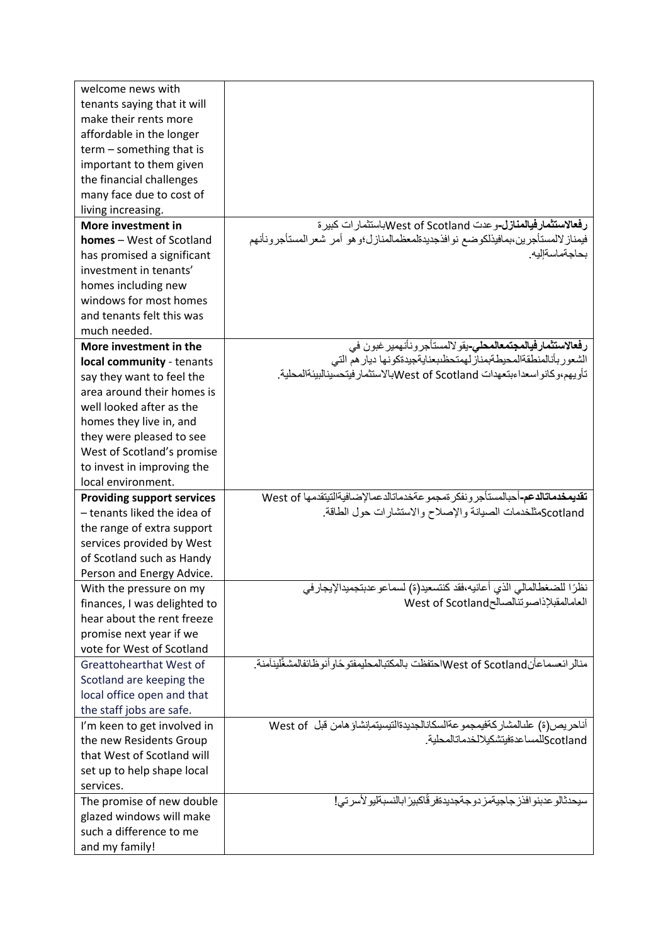| welcome news with                                    |                                                                                                                                         |
|------------------------------------------------------|-----------------------------------------------------------------------------------------------------------------------------------------|
| tenants saying that it will                          |                                                                                                                                         |
| make their rents more                                |                                                                                                                                         |
| affordable in the longer                             |                                                                                                                                         |
| $term$ – something that is                           |                                                                                                                                         |
| important to them given                              |                                                                                                                                         |
| the financial challenges                             |                                                                                                                                         |
| many face due to cost of                             |                                                                                                                                         |
| living increasing.                                   |                                                                                                                                         |
| More investment in                                   | <b>رفعالاستثمارفيالمنازل-</b> وعدت West of Scotlandاباستثمار ات كبير ة                                                                  |
| <b>homes</b> – West of Scotland                      | فيمناز لالمستأجرين،بمافيذلكوضع نوافذجديدةلمعظمالمنازل؛وهو أمر شعرالمستأجرونانهم                                                         |
|                                                      | بحاجةماسةالبه                                                                                                                           |
| has promised a significant<br>investment in tenants' |                                                                                                                                         |
|                                                      |                                                                                                                                         |
| homes including new                                  |                                                                                                                                         |
| windows for most homes<br>and tenants felt this was  |                                                                                                                                         |
|                                                      |                                                                                                                                         |
| much needed.                                         |                                                                                                                                         |
| More investment in the                               | <b>رفعالاستثمارفيالمجتمعالمحلي-</b> يقو لالمستأجر ونأنهمير غبون في<br>الشعور بأنالمنطقةالمحيطةبمناز لهمتحظىبعنايةجيدةكونها ديار هم التي |
| local community - tenants                            | تأويهم،وكانواسعداءبنعهدات West of Scotlandبالاستثمار فيتحسينالبيئةالمحلية.                                                              |
| say they want to feel the                            |                                                                                                                                         |
| area around their homes is                           |                                                                                                                                         |
| well looked after as the                             |                                                                                                                                         |
| homes they live in, and                              |                                                                                                                                         |
| they were pleased to see                             |                                                                                                                                         |
| West of Scotland's promise                           |                                                                                                                                         |
| to invest in improving the                           |                                                                                                                                         |
| local environment.                                   |                                                                                                                                         |
| <b>Providing support services</b>                    | تقديمخدماتالدعم-أحبالمستأجر ونفكر تمجمو عةخدماتالدعمالإضافيةالتيتقدمها West of                                                          |
| - tenants liked the idea of                          | Scotlandمثلخدمات الصيانة والإصلاح والاستشارات حول الطاقة                                                                                |
| the range of extra support                           |                                                                                                                                         |
| services provided by West                            |                                                                                                                                         |
| of Scotland such as Handy                            |                                                                                                                                         |
| Person and Energy Advice.                            |                                                                                                                                         |
| With the pressure on my                              | نظرًا للضغطالمالي الذي أعانيه،فقد كنتسعيد(ة) لسماعو عدبتجميدالإيجار في                                                                  |
| finances, I was delighted to                         | العامالمقبلإذاصوتنالصالحWest of Scotland                                                                                                |
| hear about the rent freeze                           |                                                                                                                                         |
| promise next year if we                              |                                                                                                                                         |
| vote for West of Scotland                            |                                                                                                                                         |
| Greattohearthat West of                              | منالر ائعسماعأن West of Scotlandاحتفظت بالمكتبالمحليمفتو حًاو أنو ظائفالمشغَّلينآمنة.                                                   |
| Scotland are keeping the                             |                                                                                                                                         |
| local office open and that                           |                                                                                                                                         |
| the staff jobs are safe.                             |                                                                                                                                         |
| I'm keen to get involved in                          | أناحريص(ة) علىالمشاركةفيمجمو عةالسكانالجديدةالتيسيتمإنشاؤ هامن قبل West of                                                              |
| the new Residents Group                              | Scotlandللمساعدةفيتشكيلالخدماتالمحلية                                                                                                   |
| that West of Scotland will                           |                                                                                                                                         |
| set up to help shape local                           |                                                                                                                                         |
| services.                                            |                                                                                                                                         |
| The promise of new double                            | سيحدثالو عدبنو افذر جاجيةمز دو جةجديدةفر قَاكبيرَ ابالنسبةليو لأسر تي!                                                                  |
| glazed windows will make                             |                                                                                                                                         |
| such a difference to me                              |                                                                                                                                         |
| and my family!                                       |                                                                                                                                         |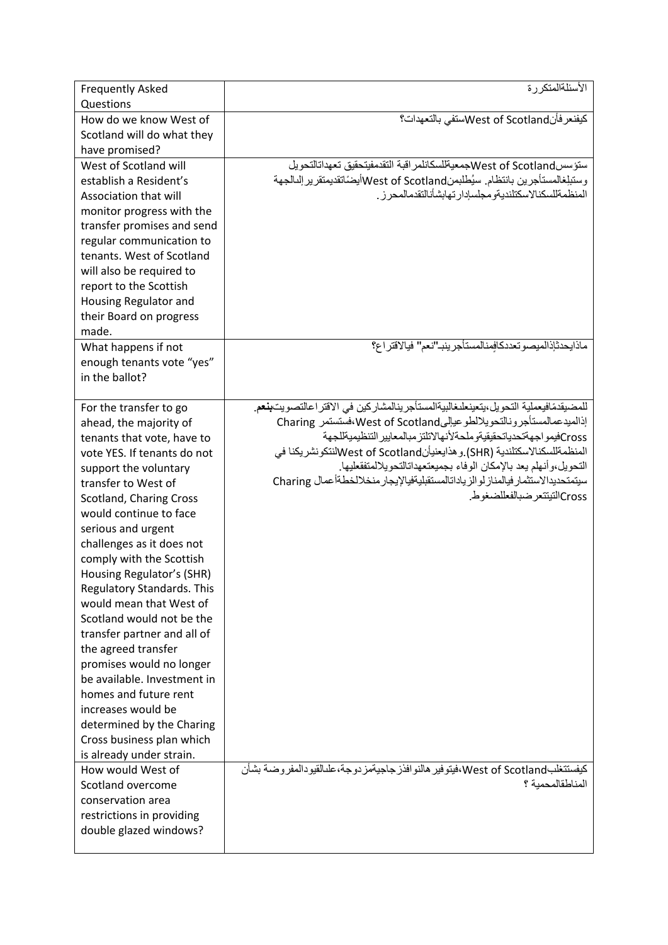| <b>Frequently Asked</b><br>Questions                                                                                                                                                                                                                                                                                                                                                                                                                                                                                                                                                                                                                                       | الأسئلةالمتكررة                                                                                                                                                                                                                                                                                                                                                                                                                                                                                                   |
|----------------------------------------------------------------------------------------------------------------------------------------------------------------------------------------------------------------------------------------------------------------------------------------------------------------------------------------------------------------------------------------------------------------------------------------------------------------------------------------------------------------------------------------------------------------------------------------------------------------------------------------------------------------------------|-------------------------------------------------------------------------------------------------------------------------------------------------------------------------------------------------------------------------------------------------------------------------------------------------------------------------------------------------------------------------------------------------------------------------------------------------------------------------------------------------------------------|
| How do we know West of<br>Scotland will do what they<br>have promised?                                                                                                                                                                                                                                                                                                                                                                                                                                                                                                                                                                                                     | كيفنعر فأنWest of Scotlandلاستفى بالتعهدات؟                                                                                                                                                                                                                                                                                                                                                                                                                                                                       |
| West of Scotland will<br>establish a Resident's<br>Association that will<br>monitor progress with the<br>transfer promises and send<br>regular communication to<br>tenants. West of Scotland<br>will also be required to<br>report to the Scottish<br>Housing Regulator and<br>their Board on progress<br>made.                                                                                                                                                                                                                                                                                                                                                            | ستؤسسWest of Scotlandسكانلمر افبة التقدمفيتحقيق تعهداتالتحويل<br>وستبلغالمستأجرين بانتظام سيُطلبمنWest of Scotlandهاأيضَاتقديمتقرير إلىالجهة<br>المنظمةللسكنالاسكتلنديةو مجلسادار تهابشأنالتقدمالمحر ز                                                                                                                                                                                                                                                                                                            |
| What happens if not<br>enough tenants vote "yes"<br>in the ballot?                                                                                                                                                                                                                                                                                                                                                                                                                                                                                                                                                                                                         | ماذابحدثإذالميصوتعددكافمنالمستأجر ينب انعم" فيالاقتراع؟                                                                                                                                                                                                                                                                                                                                                                                                                                                           |
| For the transfer to go<br>ahead, the majority of<br>tenants that vote, have to<br>vote YES. If tenants do not<br>support the voluntary<br>transfer to West of<br>Scotland, Charing Cross<br>would continue to face<br>serious and urgent<br>challenges as it does not<br>comply with the Scottish<br>Housing Regulator's (SHR)<br>Regulatory Standards. This<br>would mean that West of<br>Scotland would not be the<br>transfer partner and all of<br>the agreed transfer<br>promises would no longer<br>be available. Investment in<br>homes and future rent<br>increases would be<br>determined by the Charing<br>Cross business plan which<br>is already under strain. | للمضيقدمًافيعملية التحويل،يتعينعلىغالبيةالمستأجرينالمشاركين في الاقتر اعالتصويت <b>بنع</b> م.<br>إذالميدعمالمستأجرونالتحويلالطوعيإلىWest of Scotland افستستمر Charing<br>Crossكفيمو اجهةتحدياتحقيقيةوملحةلأنهالاتلتز مبالمعايير التنظيميةللجهة<br>المنظمةللسكنالاسكتلندية (SHR) و هذايعنيأنWest of Scotland(ننكونشريكنا في<br>التحويل،وأنهلم يعد بالإمكان الوفاء بجميعتعهداتالتحويلالمتفقعليها.<br>سيتمتحديدالاستثمار فيالمناز لوالزياداتالمستقبليةفيالإيجار منخلالخطةأعمال Charing<br>Crossالتبتتعر ضبالفعللضغوط |
| How would West of<br>Scotland overcome<br>conservation area<br>restrictions in providing<br>double glazed windows?                                                                                                                                                                                                                                                                                                                                                                                                                                                                                                                                                         | كيفستتغلبWest of Scotland ،فيتوفير هالنو افذر جاجيةمز دوجة،علىالقيودالمفروضة بشأن<br>المناطقالمحمبة ؟                                                                                                                                                                                                                                                                                                                                                                                                             |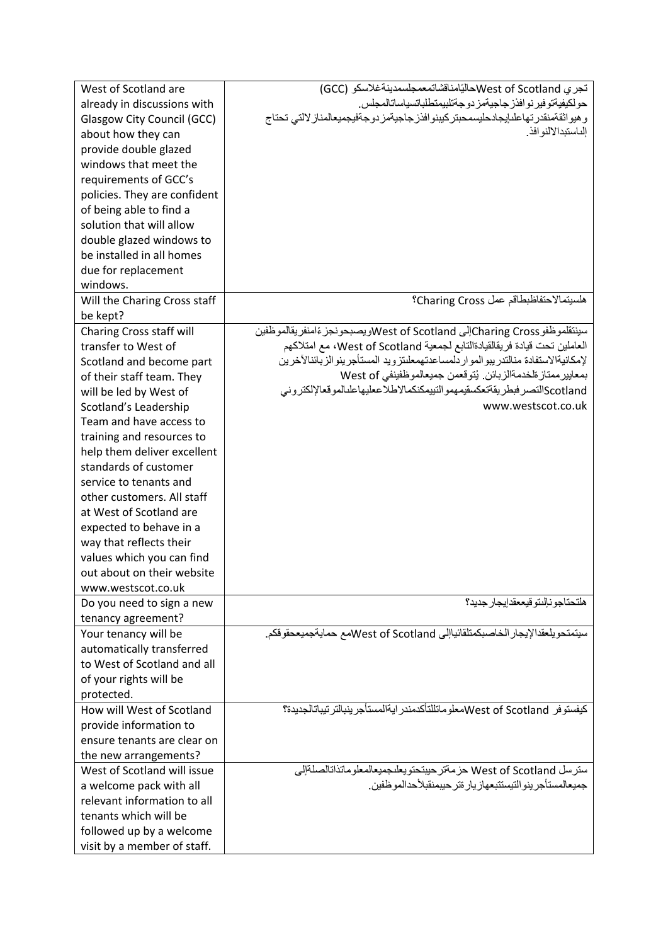| West of Scotland are              | تجري West of Scotlandلأليَّامناقشاتمعمجلسمدينةغلاسكو (GCC)                                               |
|-----------------------------------|----------------------------------------------------------------------------------------------------------|
| already in discussions with       | حولكيفيةتوفير نوافذز جاجيةمز دوجةتلبيمتطلباتسياساتالمجلس.                                                |
| <b>Glasgow City Council (GCC)</b> | وهيواثقةمنقدر تهاعلىإيجادحليسمحبتر كيبنو افذز جاجيةمز دوجةفيجميعالمناز لالتى تحتاج<br>الناستبدالالنو افذ |
| about how they can                |                                                                                                          |
| provide double glazed             |                                                                                                          |
| windows that meet the             |                                                                                                          |
| requirements of GCC's             |                                                                                                          |
| policies. They are confident      |                                                                                                          |
| of being able to find a           |                                                                                                          |
| solution that will allow          |                                                                                                          |
| double glazed windows to          |                                                                                                          |
| be installed in all homes         |                                                                                                          |
| due for replacement               |                                                                                                          |
| windows.                          |                                                                                                          |
| Will the Charing Cross staff      | هلسيتمالاحتفاظبطاقم عمل Charing Cross؟                                                                   |
| be kept?                          |                                                                                                          |
| Charing Cross staff will          | سينتقلموظفو Charing Crossإلى West of Scotlandويصبحونجز ءًامنفريقالموظفين                                 |
| transfer to West of               | العاملين تحت قيادة فريقالقيادةالتابع لجمعية West of Scotland، مع امتلاكهم                                |
| Scotland and become part          | لإمكانيةالاستفادة منالتدريبوالموار دلمساعدتهمعلىتزويد المستأجرينوالزبائنالأخرين                          |
| of their staff team. They         | بمعايير ممتاز ةلخدمةالزبائن. يُتوقعمن جميعالموظفينفي West of                                             |
| will be led by West of            | Scotlandالتصر فبطريقةتعكسقيمهمو التييمكنكمالاطلاععليهاعلىالموقعالإلكتروني                                |
| Scotland's Leadership             | www.westscot.co.uk                                                                                       |
| Team and have access to           |                                                                                                          |
| training and resources to         |                                                                                                          |
| help them deliver excellent       |                                                                                                          |
| standards of customer             |                                                                                                          |
| service to tenants and            |                                                                                                          |
| other customers. All staff        |                                                                                                          |
| at West of Scotland are           |                                                                                                          |
| expected to behave in a           |                                                                                                          |
| way that reflects their           |                                                                                                          |
| values which you can find         |                                                                                                          |
| out about on their website        |                                                                                                          |
| www.westscot.co.uk                |                                                                                                          |
| Do you need to sign a new         | هلتحتاجو نالنتو قيععقدإيجار جديد؟                                                                        |
| tenancy agreement?                |                                                                                                          |
| Your tenancy will be              | سيتمتحويلعقدالإيجار الخاصبكمتلقائياإلى West of Scotlandمع حمايةجميعحقوقكم.                               |
| automatically transferred         |                                                                                                          |
| to West of Scotland and all       |                                                                                                          |
| of your rights will be            |                                                                                                          |
| protected.                        |                                                                                                          |
| How will West of Scotland         | كيفستوفر West of Scotlandهعلوماتللتأكدمندر ايةالمستأجر ينبالتر تيباتالجديدة؟                             |
| provide information to            |                                                                                                          |
| ensure tenants are clear on       |                                                                                                          |
| the new arrangements?             |                                                                                                          |
| West of Scotland will issue       | سترسل West of Scotland حزمةتر حيبتحتويعلىجميعالمعلوماتذاتالصلةإلى                                        |
| a welcome pack with all           | جميعالمستأجر ينو التيستتبعهاز يار ةتر حيبمنقبلأحدالمو ظفين                                               |
| relevant information to all       |                                                                                                          |
| tenants which will be             |                                                                                                          |
| followed up by a welcome          |                                                                                                          |
| visit by a member of staff.       |                                                                                                          |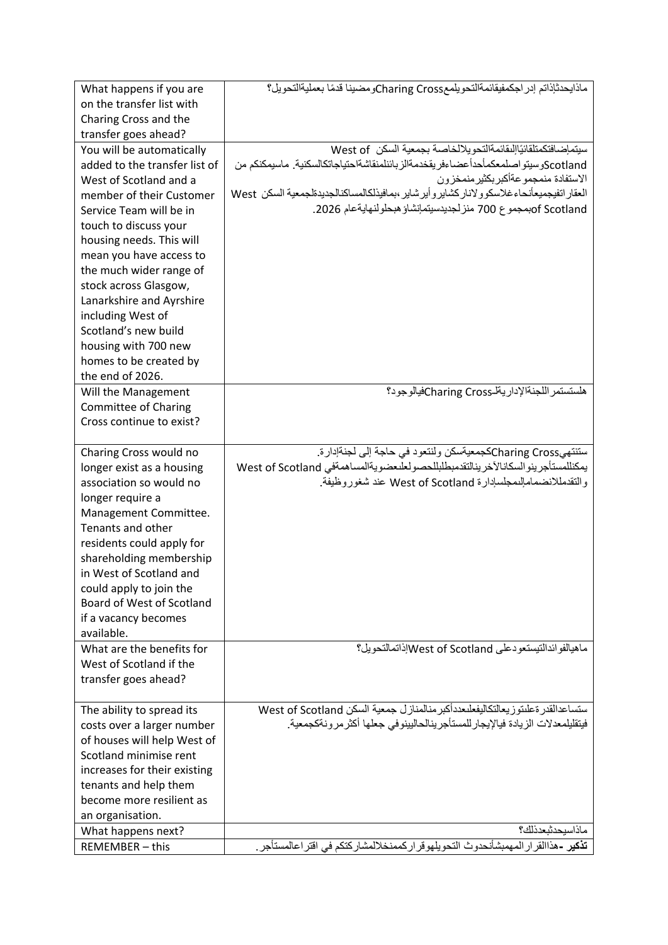| What happens if you are       | ماذايحدثإذاتم إدر اجكمفيقائمةالتحويلمعCharing CrossCومضينا قدمًا بعمليةالتحويل؟                  |
|-------------------------------|--------------------------------------------------------------------------------------------------|
| on the transfer list with     |                                                                                                  |
| Charing Cross and the         |                                                                                                  |
| transfer goes ahead?          |                                                                                                  |
| You will be automatically     | سيتماضافتكمتلقائيًااللقائمةالتحو يلالخاصة بجمعية السكن West of                                   |
| added to the transfer list of | Scotlandرسينو اصلمعكمأحدأ عضاءفر يقخدمةالز بائنلمنقاشةاحتياجاتكالسكنية. ماسيمكنكم من             |
| West of Scotland and a        | الاستفادة منمجمو عةأكبر بكثير منمخزون                                                            |
| member of their Customer      | العقار اتفيجميعأنحاءغلاسكو ولانار كشاير وأير شاير ،بمافيذلكالمساكنالجديدةلجمعية السكن  West      |
| Service Team will be in       | of Scotlandبمجموع 700 منز لجديدسيتمإنشاؤ هبحلولنهايةعام 2026.                                    |
| touch to discuss your         |                                                                                                  |
| housing needs. This will      |                                                                                                  |
| mean you have access to       |                                                                                                  |
| the much wider range of       |                                                                                                  |
| stock across Glasgow,         |                                                                                                  |
| Lanarkshire and Ayrshire      |                                                                                                  |
| including West of             |                                                                                                  |
| Scotland's new build          |                                                                                                  |
| housing with 700 new          |                                                                                                  |
| homes to be created by        |                                                                                                  |
| the end of 2026.              |                                                                                                  |
| Will the Management           | هلستستمر اللجنةالإداريةلـCharing Crossتفيالوجود؟                                                 |
| <b>Committee of Charing</b>   |                                                                                                  |
| Cross continue to exist?      |                                                                                                  |
| Charing Cross would no        | ستنتهيCharing Crossكجمعيةسكن ولنتعود في حاجة إلى لجنةإدارة.                                      |
| longer exist as a housing     | يمكنللمستأجرينو السكانالأخرينالتقدمبطلبللحصولعلىعضويةالمساهمةفي West of Scotland                 |
| association so would no       | والتقدمللانضماماللمجلسادارة West of Scotland عند شغوروظيفة.                                      |
| longer require a              |                                                                                                  |
| Management Committee.         |                                                                                                  |
| Tenants and other             |                                                                                                  |
| residents could apply for     |                                                                                                  |
| shareholding membership       |                                                                                                  |
| in West of Scotland and       |                                                                                                  |
| could apply to join the       |                                                                                                  |
| Board of West of Scotland     |                                                                                                  |
| if a vacancy becomes          |                                                                                                  |
| available.                    |                                                                                                  |
| What are the benefits for     | ماهيالفوائدالتيستعودعلى West of Scotlandاإذاتمالتحويل؟                                           |
| West of Scotland if the       |                                                                                                  |
| transfer goes ahead?          |                                                                                                  |
|                               |                                                                                                  |
| The ability to spread its     | ستساعدالقدر ةعلىتوز يعالتكاليفعلىعددأكبر منالمنازل جمعية السكن West of Scotland                  |
| costs over a larger number    | فيتقليلمعدلات الزيادة فيالإيجار للمستأجر ينالحاليينوفي جعلها أكثر مر ونةكجمعية.                  |
| of houses will help West of   |                                                                                                  |
| Scotland minimise rent        |                                                                                                  |
| increases for their existing  |                                                                                                  |
| tenants and help them         |                                                                                                  |
| become more resilient as      |                                                                                                  |
| an organisation.              |                                                                                                  |
| What happens next?            | ماذاسيحدثبعدذلك؟                                                                                 |
| REMEMBER - this               | <mark>تذكير -</mark> هذاالقرار المهمبشأنحدوث التحويلهوقرار كممنخلالمشاركتكم في اقتر اعالمستأجر . |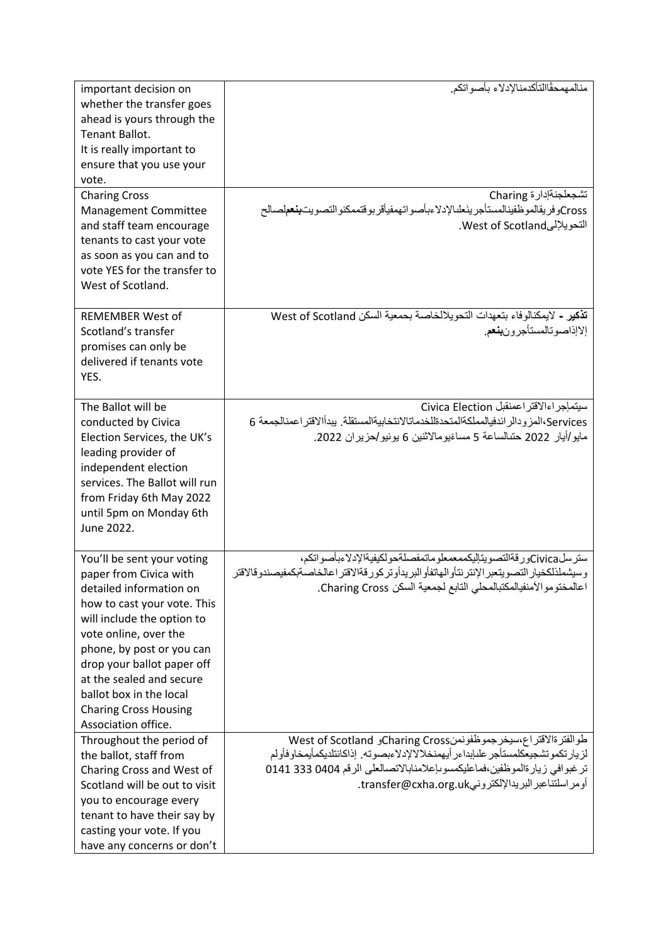| important decision on         | منالمهمحقًاالتأكدمنالإدلاء بأصواتكم                                                            |
|-------------------------------|------------------------------------------------------------------------------------------------|
| whether the transfer goes     |                                                                                                |
| ahead is yours through the    |                                                                                                |
| Tenant Ballot.                |                                                                                                |
| It is really important to     |                                                                                                |
| ensure that you use your      |                                                                                                |
| vote.                         |                                                                                                |
| <b>Charing Cross</b>          | تشجعلجنةإدار ة Charing                                                                         |
| Management Committee          | Crossوفريقالموظفينالمستأجرينَعلىالإدلاءبأصواتهمفيأقربوقتممكنوالتصويتب <b>نعم</b> لصالح         |
| and staff team encourage      | التحويلإلىWest of Scotland.                                                                    |
| tenants to cast your vote     |                                                                                                |
| as soon as you can and to     |                                                                                                |
| vote YES for the transfer to  |                                                                                                |
| West of Scotland.             |                                                                                                |
|                               |                                                                                                |
| <b>REMEMBER West of</b>       | تذكير - لايمكنالوفاء بتعهدات التحويلالخاصة بحمعية السكن West of Scotland                       |
| Scotland's transfer           | إلاإذاصوتالمستأجرون <b>بنع</b> م.                                                              |
| promises can only be          |                                                                                                |
| delivered if tenants vote     |                                                                                                |
| YES.                          |                                                                                                |
|                               |                                                                                                |
| The Ballot will be            | سيتمإجر اءالاقتر اعمنقبل Civica Election                                                       |
| conducted by Civica           | Services،المز و دالر ائدفيالمملكةالمتحدةللخدماتالانتخابيةالمستقلة. يبدأالاقتر اعمنالجمعة 6     |
| Election Services, the UK's   | مايو/أيار 2022 حتىالساعة 5 مساءًيومالاثنين 6 يونيو/حزيران 2022.                                |
| leading provider of           |                                                                                                |
| independent election          |                                                                                                |
| services. The Ballot will run |                                                                                                |
| from Friday 6th May 2022      |                                                                                                |
| until 5pm on Monday 6th       |                                                                                                |
| June 2022.                    |                                                                                                |
|                               |                                                                                                |
| You'll be sent your voting    | ستر سلCivicaور فةالتصو يتاليكممعمعلو ماتمفصلةحو لكيفيةالإدلاءبأصو اتكم،                        |
| paper from Civica with        | وسيشملذلكخيار التصويتعبر الإنتر نتأو الهاتفأو البريدأوتر كور قةالاقتر اعالخاصةبكمفيصندوقالاقتر |
| detailed information on       | اعالمختوموالأمنفيالمكتبالمحلي التابع لجمعية السكن Charing Cross.                               |
| how to cast your vote. This   |                                                                                                |
| will include the option to    |                                                                                                |
| vote online, over the         |                                                                                                |
| phone, by post or you can     |                                                                                                |
| drop your ballot paper off    |                                                                                                |
| at the sealed and secure      |                                                                                                |
| ballot box in the local       |                                                                                                |
| <b>Charing Cross Housing</b>  |                                                                                                |
| Association office.           |                                                                                                |
| Throughout the period of      | طوالفترةالاقتراع،سيخرجموظفونمنCharing Crossو West of Scotland                                  |
| the ballot, staff from        | لزيار تكموتشجيعكلمستأجر علىإبداءر أيهمنخلالالإدلاءبصوته. إذاكانتلديكمأيمخاوفأولم               |
| Charing Cross and West of     | تر غبوافي زيارةالموظفين،فماعليكمسوىإعلامنابالاتصالعلى الرقم 0404 333 0141                      |
| Scotland will be out to visit | أومر اسلتناعبر البريدالإلكترونيtransfer@cxha.org.uk.                                           |
| you to encourage every        |                                                                                                |
| tenant to have their say by   |                                                                                                |
| casting your vote. If you     |                                                                                                |
| have any concerns or don't    |                                                                                                |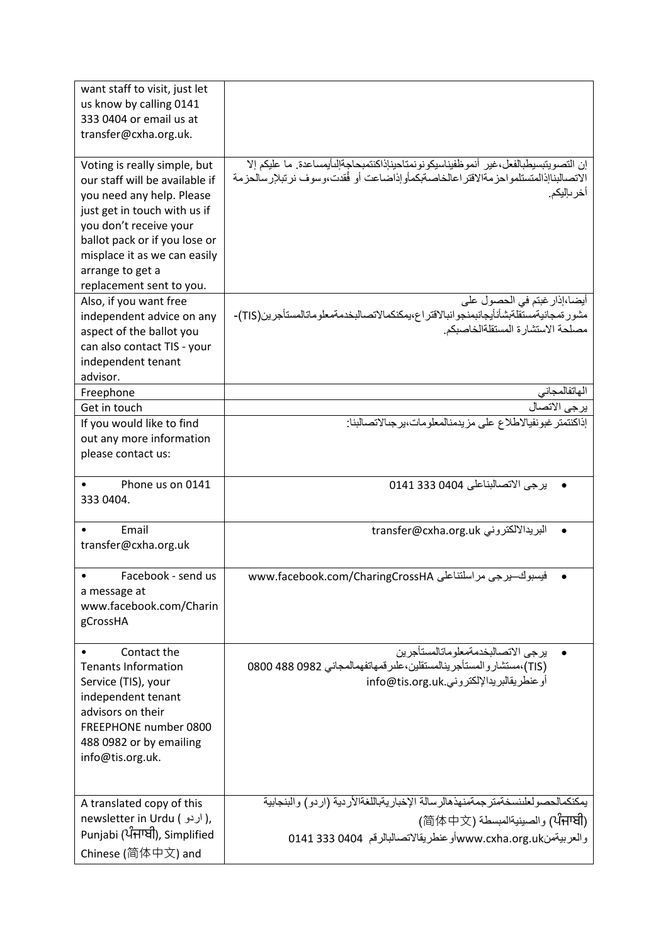| want staff to visit, just let  |                                                                                            |
|--------------------------------|--------------------------------------------------------------------------------------------|
| us know by calling 0141        |                                                                                            |
| 333 0404 or email us at        |                                                                                            |
| transfer@cxha.org.uk.          |                                                                                            |
|                                |                                                                                            |
| Voting is really simple, but   | إن التصويتبسيطبالفعل،غير أنمو ظفيناسيكو نو نمتاحيناذاكنتمبحاجةالِلْمايمساعدة. ما عليكم إلا |
| our staff will be available if | الاتصالبناإذالمتستلمواحز مةالاقتر اعالخاصةبكمأوإذاضاعت أو فُقدت،وسوف نرتبلإرسالحزمة        |
| you need any help. Please      | أخر باليكم.                                                                                |
| just get in touch with us if   |                                                                                            |
| you don't receive your         |                                                                                            |
| ballot pack or if you lose or  |                                                                                            |
| misplace it as we can easily   |                                                                                            |
| arrange to get a               |                                                                                            |
| replacement sent to you.       |                                                                                            |
| Also, if you want free         | أيضا،إذار غبتم في الحصول على                                                               |
|                                | مشور ةمجانيةمستقلةبشأنأيجانبمنجوانبالاقتراع،يمكنكمالاتصالبخدمةمعلوماتالمستأجرين(TIS)-      |
| independent advice on any      | مصلحة الاستشارة المستقلةالخاصبكم                                                           |
| aspect of the ballot you       |                                                                                            |
| can also contact TIS - your    |                                                                                            |
| independent tenant             |                                                                                            |
| advisor.                       |                                                                                            |
| Freephone                      | الهاتفالمجاني                                                                              |
| Get in touch                   | يرجى الاتصال                                                                               |
| If you would like to find      | إذاكنتمتر غبونفيالاطلاع على مزيدمنالمعلومات،يرجىالاتصالبنا:                                |
| out any more information       |                                                                                            |
| please contact us:             |                                                                                            |
|                                |                                                                                            |
| Phone us on 0141               | يرجى الاتصالبناعلى 0404 333 0141                                                           |
| 333 0404.                      |                                                                                            |
|                                |                                                                                            |
| Email                          | البريدالالكتروني transfer@cxha.org.uk                                                      |
| transfer@cxha.org.uk           |                                                                                            |
|                                |                                                                                            |
| Facebook - send us             | فيسبوك-يرجى مراسلتناعلى www.facebook.com/CharingCrossHA                                    |
| a message at                   |                                                                                            |
| www.facebook.com/Charin        |                                                                                            |
| gCrossHA                       |                                                                                            |
|                                |                                                                                            |
| Contact the                    | يرجى الاتصالبخدمةمعلوماتالمستأجرين                                                         |
| <b>Tenants Information</b>     | (TIS)،مستشاروالمستأجرينالمستقلين،علىر فمهاتفهمالمجاني 0982 0800 0800                       |
| Service (TIS), your            | أو عنطر يقالبر يدالإلكتر وني.info@tis.org.uk                                               |
| independent tenant             |                                                                                            |
| advisors on their              |                                                                                            |
| FREEPHONE number 0800          |                                                                                            |
| 488 0982 or by emailing        |                                                                                            |
| info@tis.org.uk.               |                                                                                            |
|                                |                                                                                            |
|                                |                                                                                            |
| A translated copy of this      | يمكنكمالحصولعلىنسخةمتر جمةمنهذهالرسالة الإخباريةباللغةالأردية (اردو) والبنجابية            |
| newsletter in Urdu ( اردو),    | (ਪੰਜਾਬੀ) والصينيةالمبسطة (简体中文)                                                            |
| Punjabi (ਪੰਜਾਬੀ), Simplified   | والعربيةمنwww.cxha.org.uk أو عنطريقالاتصالبالرقم  0404 333 0404                            |
| Chinese (简体中文) and             |                                                                                            |
|                                |                                                                                            |